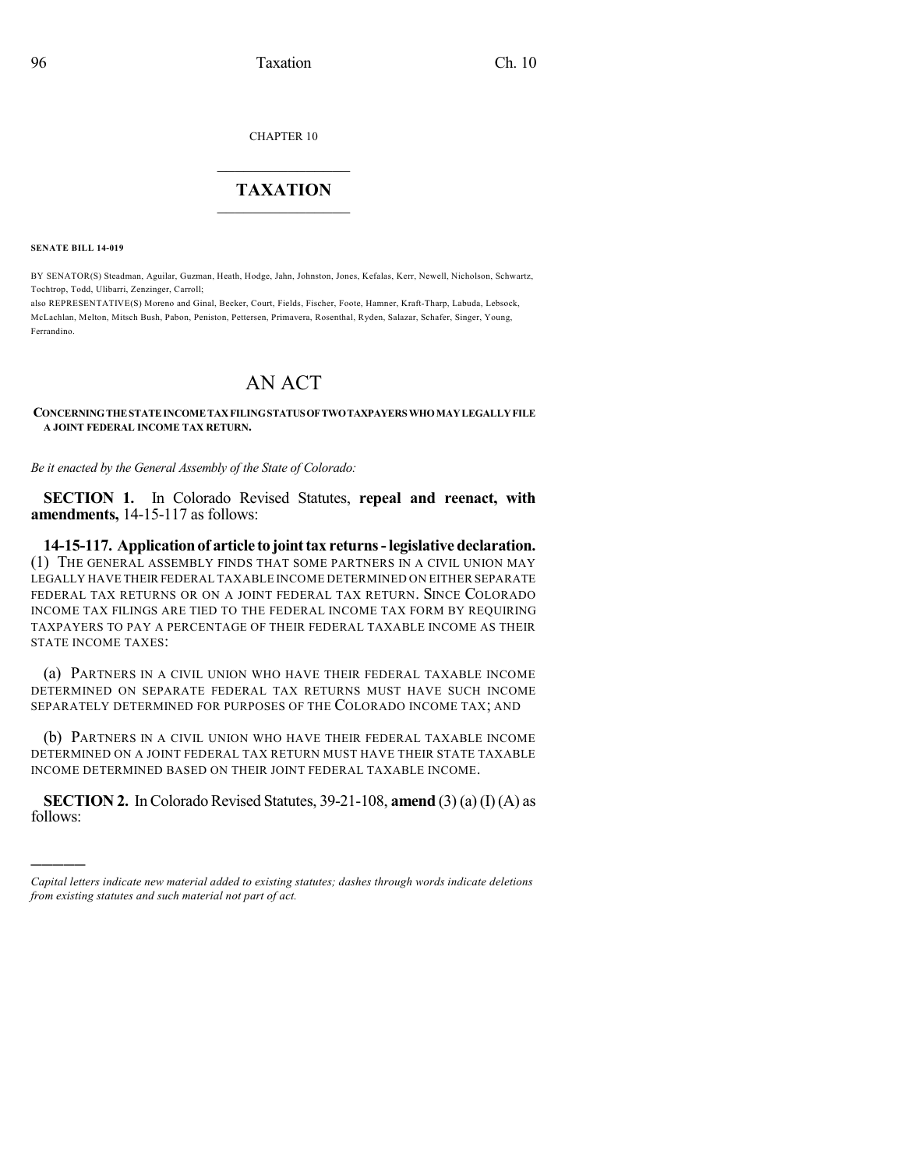CHAPTER 10

## $\mathcal{L}_\text{max}$  . The set of the set of the set of the set of the set of the set of the set of the set of the set of the set of the set of the set of the set of the set of the set of the set of the set of the set of the set **TAXATION**  $\_$

**SENATE BILL 14-019**

)))))

BY SENATOR(S) Steadman, Aguilar, Guzman, Heath, Hodge, Jahn, Johnston, Jones, Kefalas, Kerr, Newell, Nicholson, Schwartz, Tochtrop, Todd, Ulibarri, Zenzinger, Carroll;

also REPRESENTATIVE(S) Moreno and Ginal, Becker, Court, Fields, Fischer, Foote, Hamner, Kraft-Tharp, Labuda, Lebsock, McLachlan, Melton, Mitsch Bush, Pabon, Peniston, Pettersen, Primavera, Rosenthal, Ryden, Salazar, Schafer, Singer, Young, Ferrandino.

## AN ACT

**CONCERNINGTHESTATEINCOMETAXFILINGSTATUSOFTWOTAXPAYERS WHOMAYLEGALLYFILE A JOINT FEDERAL INCOME TAX RETURN.**

*Be it enacted by the General Assembly of the State of Colorado:*

**SECTION 1.** In Colorado Revised Statutes, **repeal and reenact, with amendments,** 14-15-117 as follows:

**14-15-117. Applicationof article to jointtax returns-legislative declaration.** (1) THE GENERAL ASSEMBLY FINDS THAT SOME PARTNERS IN A CIVIL UNION MAY LEGALLY HAVE THEIR FEDERAL TAXABLE INCOME DETERMINED ON EITHER SEPARATE FEDERAL TAX RETURNS OR ON A JOINT FEDERAL TAX RETURN. SINCE COLORADO INCOME TAX FILINGS ARE TIED TO THE FEDERAL INCOME TAX FORM BY REQUIRING TAXPAYERS TO PAY A PERCENTAGE OF THEIR FEDERAL TAXABLE INCOME AS THEIR STATE INCOME TAXES:

(a) PARTNERS IN A CIVIL UNION WHO HAVE THEIR FEDERAL TAXABLE INCOME DETERMINED ON SEPARATE FEDERAL TAX RETURNS MUST HAVE SUCH INCOME SEPARATELY DETERMINED FOR PURPOSES OF THE COLORADO INCOME TAX; AND

(b) PARTNERS IN A CIVIL UNION WHO HAVE THEIR FEDERAL TAXABLE INCOME DETERMINED ON A JOINT FEDERAL TAX RETURN MUST HAVE THEIR STATE TAXABLE INCOME DETERMINED BASED ON THEIR JOINT FEDERAL TAXABLE INCOME.

**SECTION 2.** In Colorado Revised Statutes,  $39-21-108$ , **amend**  $(3)$  (a) (I) (A) as follows:

*Capital letters indicate new material added to existing statutes; dashes through words indicate deletions from existing statutes and such material not part of act.*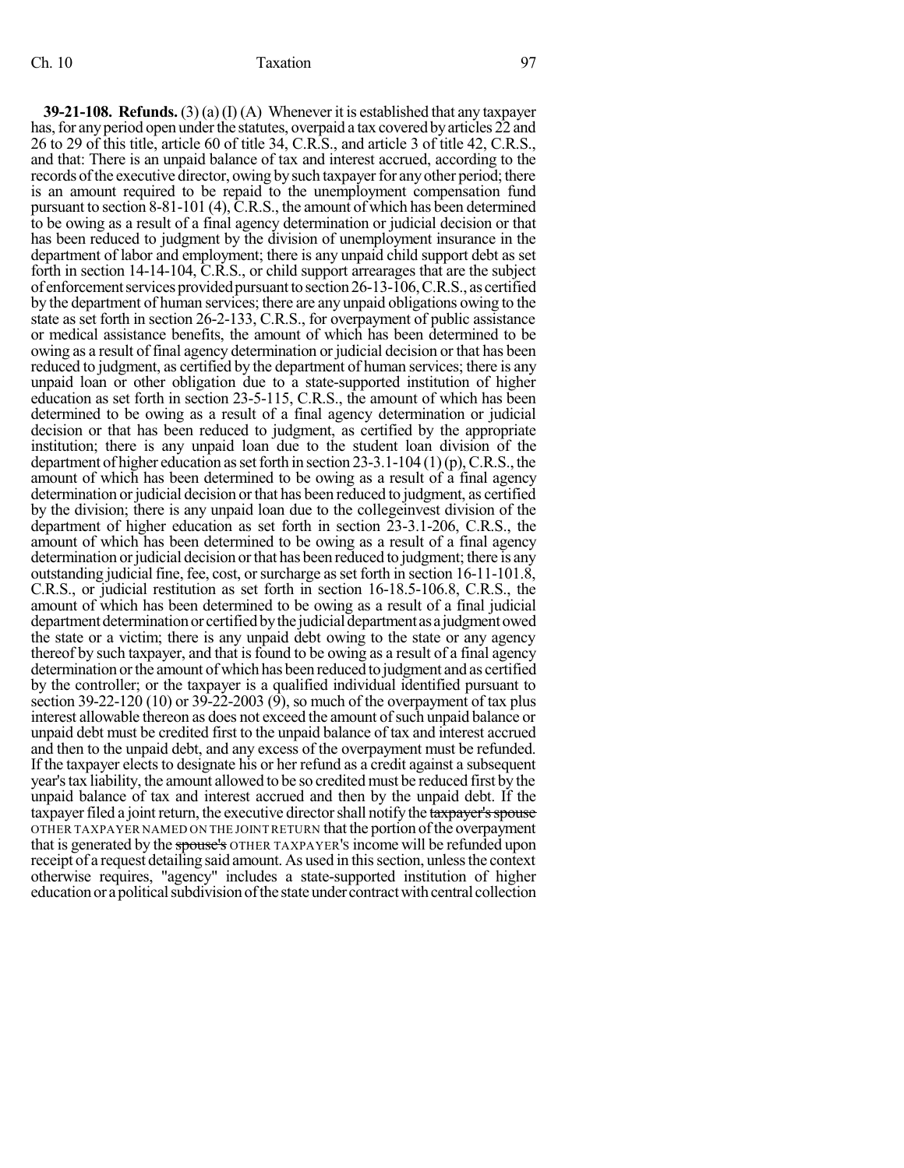**39-21-108. Refunds.** (3) (a)(I) (A) Whenever it is established that any taxpayer has, for any period open under the statutes, overpaid a tax covered by articles 22 and 26 to 29 of this title, article 60 of title 34, C.R.S., and article 3 of title 42, C.R.S., and that: There is an unpaid balance of tax and interest accrued, according to the records of the executive director, owing by such taxpayer for any other period; there is an amount required to be repaid to the unemployment compensation fund pursuant to section 8-81-101 (4), C.R.S., the amount of which has been determined to be owing as a result of a final agency determination or judicial decision or that has been reduced to judgment by the division of unemployment insurance in the department of labor and employment; there is any unpaid child support debt as set forth in section 14-14-104, C.R.S., or child support arrearages that are the subject of enforcement services provided pursuant to section  $26-13-106$ , C.R.S., as certified by the department of human services; there are any unpaid obligations owing to the state as set forth in section 26-2-133, C.R.S., for overpayment of public assistance or medical assistance benefits, the amount of which has been determined to be owing as a result of final agency determination or judicial decision or that has been reduced to judgment, as certified by the department of human services; there is any unpaid loan or other obligation due to a state-supported institution of higher education as set forth in section 23-5-115, C.R.S., the amount of which has been determined to be owing as a result of a final agency determination or judicial decision or that has been reduced to judgment, as certified by the appropriate institution; there is any unpaid loan due to the student loan division of the department of higher education as set forth in section 23-3.1-104 (1)(p), C.R.S., the amount of which has been determined to be owing as a result of a final agency determination or judicial decision or that has been reduced to judgment, as certified by the division; there is any unpaid loan due to the collegeinvest division of the department of higher education as set forth in section 23-3.1-206, C.R.S., the amount of which has been determined to be owing as a result of a final agency determination or judicial decision or that has been reduced to judgment; there is any outstanding judicial fine, fee, cost, or surcharge as set forth in section  $16-11-101.8$ , C.R.S., or judicial restitution as set forth in section 16-18.5-106.8, C.R.S., the amount of which has been determined to be owing as a result of a final judicial department determination or certified by the judicial department as a judgment owed the state or a victim; there is any unpaid debt owing to the state or any agency thereof by such taxpayer, and that isfound to be owing as a result of a final agency determination orthe amount of which has been reduced to judgment and as certified by the controller; or the taxpayer is a qualified individual identified pursuant to section 39-22-120 (10) or 39-22-2003 (9), so much of the overpayment of tax plus interest allowable thereon as does not exceed the amount of such unpaid balance or unpaid debt must be credited first to the unpaid balance of tax and interest accrued and then to the unpaid debt, and any excess of the overpayment must be refunded. If the taxpayer elects to designate his or her refund as a credit against a subsequent year'stax liability, the amount allowed to be so credited must be reduced first by the unpaid balance of tax and interest accrued and then by the unpaid debt. If the taxpayer filed a joint return, the executive director shall notify the taxpayer's spouse OTHER TAXPAYER NAMED ON THE JOINTRETURN that the portion ofthe overpayment that is generated by the spouse's OTHER TAXPAYER's income will be refunded upon receipt of a request detailing said amount. As used in this section, unless the context otherwise requires, "agency" includes a state-supported institution of higher education or a political subdivision of the state under contract with central collection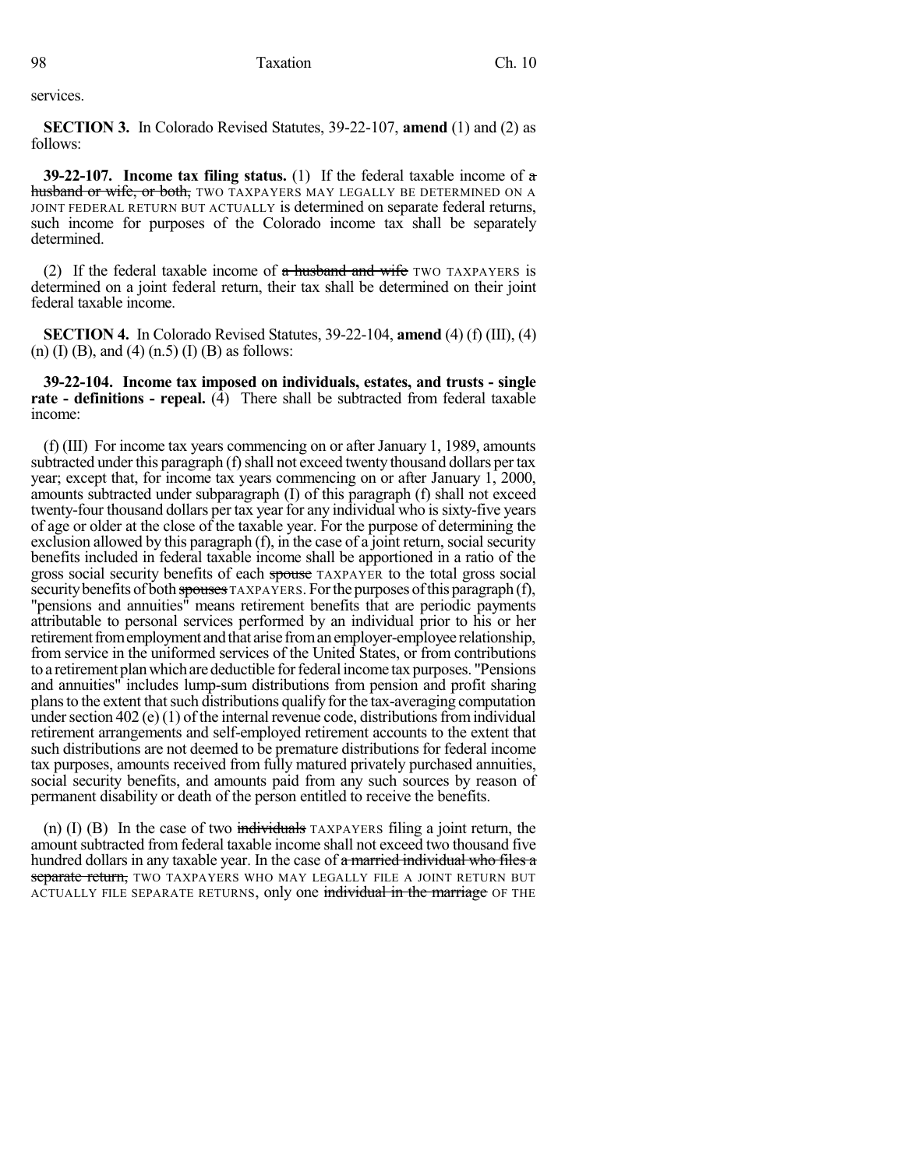services.

**SECTION 3.** In Colorado Revised Statutes, 39-22-107, **amend** (1) and (2) as follows:

**39-22-107. Income tax filing status.** (1) If the federal taxable income of a husband or wife, or both, TWO TAXPAYERS MAY LEGALLY BE DETERMINED ON A JOINT FEDERAL RETURN BUT ACTUALLY is determined on separate federal returns, such income for purposes of the Colorado income tax shall be separately determined.

(2) If the federal taxable income of  $\alpha$  husband and wife two TAXPAYERS is determined on a joint federal return, their tax shall be determined on their joint federal taxable income.

**SECTION 4.** In Colorado Revised Statutes, 39-22-104, **amend** (4) (f) (III), (4) (n) (I) (B), and (4) (n.5) (I) (B) as follows:

**39-22-104. Income tax imposed on individuals, estates, and trusts - single rate - definitions - repeal.** (4) There shall be subtracted from federal taxable income:

(f) (III) For income tax years commencing on or after January 1, 1989, amounts subtracted under this paragraph (f) shall not exceed twenty thousand dollars per tax year; except that, for income tax years commencing on or after January 1, 2000, amounts subtracted under subparagraph (I) of this paragraph (f) shall not exceed twenty-four thousand dollars per tax year for any individual who is sixty-five years of age or older at the close of the taxable year. For the purpose of determining the exclusion allowed by this paragraph  $(f)$ , in the case of a joint return, social security benefits included in federal taxable income shall be apportioned in a ratio of the gross social security benefits of each spouse TAXPAYER to the total gross social security benefits of both spouses TAXPAYERS. For the purposes of this paragraph  $(f)$ , "pensions and annuities" means retirement benefits that are periodic payments attributable to personal services performed by an individual prior to his or her retirement from employment and that arise from an employer-employee relationship, from service in the uniformed services of the United States, or from contributions to a retirement plan which are deductible for federal income tax purposes. "Pensions and annuities" includes lump-sum distributions from pension and profit sharing plans to the extent that such distributions qualify for the tax-averaging computation under section  $402$  (e) (1) of the internal revenue code, distributions from individual retirement arrangements and self-employed retirement accounts to the extent that such distributions are not deemed to be premature distributions for federal income tax purposes, amounts received from fully matured privately purchased annuities, social security benefits, and amounts paid from any such sources by reason of permanent disability or death of the person entitled to receive the benefits.

(n) (I) (B) In the case of two individuals TAXPAYERS filing a joint return, the amount subtracted from federal taxable income shall not exceed two thousand five hundred dollars in any taxable year. In the case of a married individual who files a separate return, TWO TAXPAYERS WHO MAY LEGALLY FILE A JOINT RETURN BUT ACTUALLY FILE SEPARATE RETURNS, only one individual in the marriage OF THE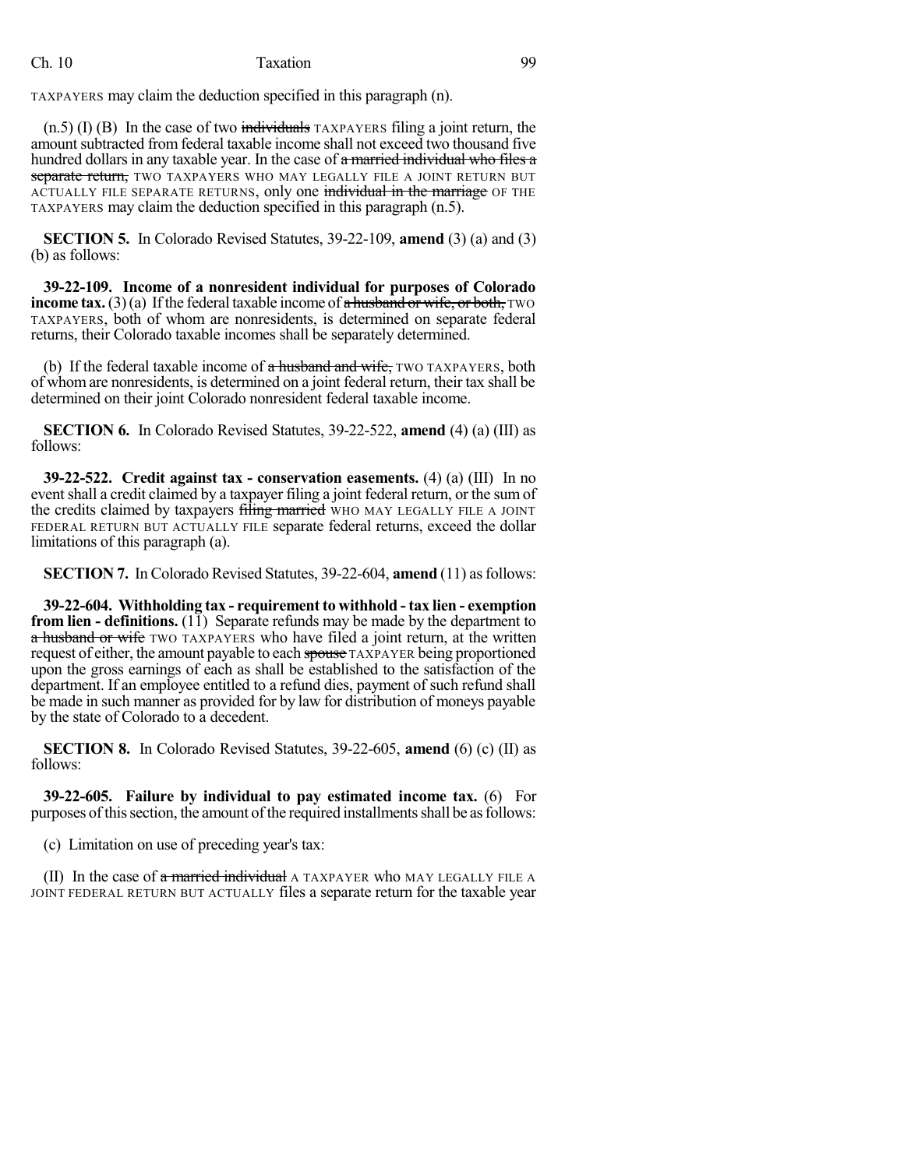## Ch. 10 Taxation 10 Taxation 99

TAXPAYERS may claim the deduction specified in this paragraph (n).

 $(n.5)$  (I) (B) In the case of two individuals TAXPAYERS filing a joint return, the amount subtracted from federal taxable income shall not exceed two thousand five hundred dollars in any taxable year. In the case of a married individual who files a separate return, TWO TAXPAYERS WHO MAY LEGALLY FILE A JOINT RETURN BUT ACTUALLY FILE SEPARATE RETURNS, only one individual in the marriage OF THE TAXPAYERS may claim the deduction specified in this paragraph (n.5).

**SECTION 5.** In Colorado Revised Statutes, 39-22-109, **amend** (3) (a) and (3) (b) as follows:

**39-22-109. Income of a nonresident individual for purposes of Colorado income tax.** (3)(a) If the federal taxable income of  $\alpha$  husband or wife, or both, TWO TAXPAYERS, both of whom are nonresidents, is determined on separate federal returns, their Colorado taxable incomes shall be separately determined.

(b) If the federal taxable income of a husband and wife, TWO TAXPAYERS, both of whom are nonresidents, is determined on a joint federal return, their tax shall be determined on their joint Colorado nonresident federal taxable income.

**SECTION 6.** In Colorado Revised Statutes, 39-22-522, **amend** (4) (a) (III) as follows:

**39-22-522. Credit against tax - conservation easements.** (4) (a) (III) In no eventshall a credit claimed by a taxpayer filing a joint federal return, or the sum of the credits claimed by taxpayers filing married WHO MAY LEGALLY FILE A JOINT FEDERAL RETURN BUT ACTUALLY FILE separate federal returns, exceed the dollar limitations of this paragraph (a).

**SECTION 7.** In Colorado Revised Statutes, 39-22-604, **amend** (11) asfollows:

**39-22-604. Withholding tax - requirement to withhold - tax lien - exemption from lien - definitions.** (11) Separate refunds may be made by the department to a husband or wife TWO TAXPAYERS who have filed a joint return, at the written request of either, the amount payable to each spouse TAXPAYER being proportioned upon the gross earnings of each as shall be established to the satisfaction of the department. If an employee entitled to a refund dies, payment of such refund shall be made in such manner as provided for by law for distribution of moneys payable by the state of Colorado to a decedent.

**SECTION 8.** In Colorado Revised Statutes, 39-22-605, **amend** (6) (c) (II) as follows:

**39-22-605. Failure by individual to pay estimated income tax.** (6) For purposes of this section, the amount of the required installments shall be as follows:

(c) Limitation on use of preceding year's tax:

(II) In the case of  $\alpha$  married individual A TAXPAYER who MAY LEGALLY FILE A JOINT FEDERAL RETURN BUT ACTUALLY files a separate return for the taxable year